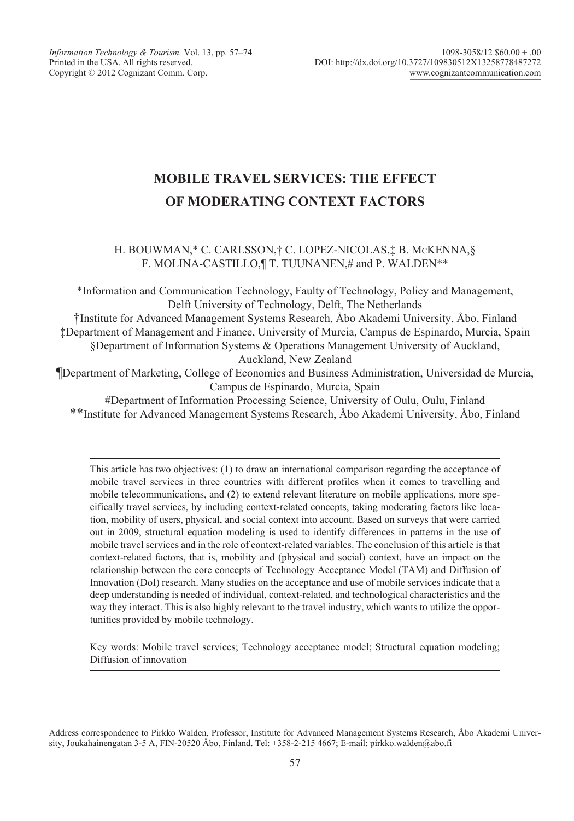# **MOBILE TRAVEL SERVICES: THE EFFECT** OF MODERATING CONTEXT FACTORS

# H. BOUWMAN,\* C. CARLSSON,† C. LOPEZ-NICOLAS,‡ B. McKENNA,§ F. MOLINA-CASTILLO,¶T. TUUNANEN,# and P. WALDEN\*\*

\*Information and Communication Technology, Faulty of Technology, Policy and Management, Delft University of Technology, Delft, The Netherlands †Institute for Advanced Management Systems Research, Åbo Akademi University, Åbo, Finland \*Department of Management and Finance, University of Murcia, Campus de Espinardo, Murcia, Spain §Department of Information Systems & Operations Management University of Auckland, Auckland, New Zealand The Department of Marketing, College of Economics and Business Administration, Universidad de Murcia, Campus de Espinardo, Murcia, Spain

#Department of Information Processing Science, University of Oulu, Oulu, Finland \*\*Institute for Advanced Management Systems Research, Åbo Akademi University, Åbo, Finland

This article has two objectives: (1) to draw an international comparison regarding the acceptance of mobile travel services in three countries with different profiles when it comes to travelling and mobile telecommunications, and (2) to extend relevant literature on mobile applications, more specifically travel services, by including context-related concepts, taking moderating factors like location, mobility of users, physical, and social context into account. Based on surveys that were carried out in 2009, structural equation modeling is used to identify differences in patterns in the use of mobile travel services and in the role of context-related variables. The conclusion of this article is that context-related factors, that is, mobility and (physical and social) context, have an impact on the relationship between the core concepts of Technology Acceptance Model (TAM) and Diffusion of Innovation (DoI) research. Many studies on the acceptance and use of mobile services indicate that a deep understanding is needed of individual, context-related, and technological characteristics and the way they interact. This is also highly relevant to the travel industry, which wants to utilize the opportunities provided by mobile technology.

Key words: Mobile travel services; Technology acceptance model; Structural equation modeling; Diffusion of innovation

Address correspondence to Pirkko Walden, Professor, Institute for Advanced Management Systems Research, Åbo Akademi University, Joukahainengatan 3-5 A, FIN-20520 Åbo, Finland. Tel: +358-2-215 4667; E-mail: pirkko.walden@abo.fi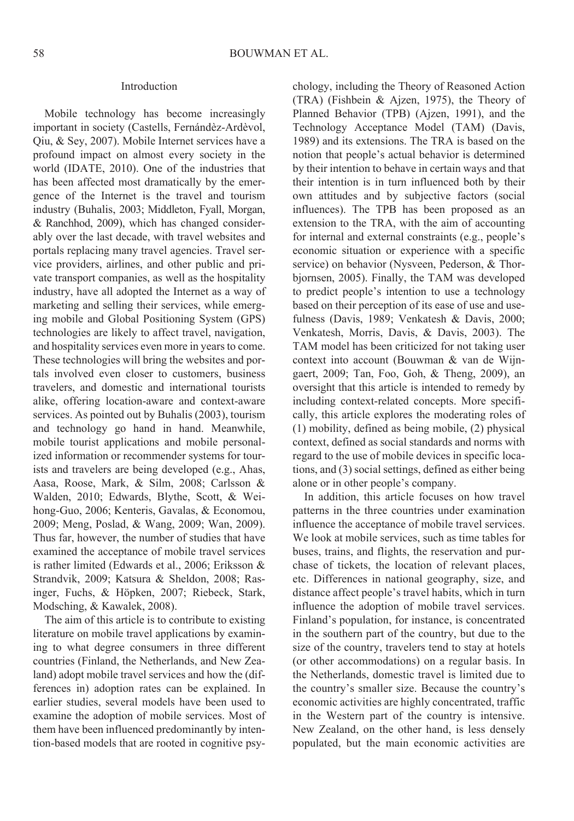#### Introduction

Mobile technology has become increasingly important in society (Castells, Fernándèz-Ardèvol, Qiu, & Sey, 2007). Mobile Internet services have a profound impact on almost every society in the world (IDATE, 2010). One of the industries that has been affected most dramatically by the emergence of the Internet is the travel and tourism industry (Buhalis, 2003; Middleton, Fyall, Morgan, & Ranchhod, 2009), which has changed considerably over the last decade, with travel websites and portals replacing many travel agencies. Travel service providers, airlines, and other public and private transport companies, as well as the hospitality industry, have all adopted the Internet as a way of marketing and selling their services, while emerging mobile and Global Positioning System (GPS) technologies are likely to affect travel, navigation, and hospitality services even more in years to come. These technologies will bring the websites and portals involved even closer to customers, business travelers, and domestic and international tourists alike, offering location-aware and context-aware services. As pointed out by Buhalis (2003), tourism and technology go hand in hand. Meanwhile, mobile tourist applications and mobile personalized information or recommender systems for tourists and travelers are being developed (e.g., Ahas, Aasa, Roose, Mark, & Silm, 2008; Carlsson & Walden, 2010; Edwards, Blythe, Scott, & Weihong-Guo, 2006; Kenteris, Gavalas, & Economou, 2009; Meng, Poslad, & Wang, 2009; Wan, 2009). Thus far, however, the number of studies that have examined the acceptance of mobile travel services is rather limited (Edwards et al., 2006; Eriksson & Strandvik, 2009; Katsura & Sheldon, 2008; Rasinger, Fuchs, & Höpken, 2007; Riebeck, Stark, Modsching, & Kawalek, 2008).

The aim of this article is to contribute to existing literature on mobile travel applications by examining to what degree consumers in three different countries (Finland, the Netherlands, and New Zealand) adopt mobile travel services and how the (differences in) adoption rates can be explained. In earlier studies, several models have been used to examine the adoption of mobile services. Most of them have been influenced predominantly by intention-based models that are rooted in cognitive psychology, including the Theory of Reasoned Action (TRA) (Fishbein & Ajzen, 1975), the Theory of Planned Behavior (TPB) (Ajzen, 1991), and the Technology Acceptance Model (TAM) (Davis, 1989) and its extensions. The TRA is based on the notion that people's actual behavior is determined by their intention to behave in certain ways and that their intention is in turn influenced both by their own attitudes and by subjective factors (social influences). The TPB has been proposed as an extension to the TRA, with the aim of accounting for internal and external constraints (e.g., people's economic situation or experience with a specific service) on behavior (Nysveen, Pederson, & Thorbjornsen, 2005). Finally, the TAM was developed to predict people's intention to use a technology based on their perception of its ease of use and usefulness (Davis, 1989; Venkatesh & Davis, 2000; Venkatesh, Morris, Davis, & Davis, 2003). The TAM model has been criticized for not taking user context into account (Bouwman & van de Wijngaert, 2009; Tan, Foo, Goh, & Theng, 2009), an oversight that this article is intended to remedy by including context-related concepts. More specifically, this article explores the moderating roles of  $(1)$  mobility, defined as being mobile,  $(2)$  physical context, defined as social standards and norms with regard to the use of mobile devices in specific locations, and (3) social settings, defined as either being alone or in other people's company.

In addition, this article focuses on how travel patterns in the three countries under examination influence the acceptance of mobile travel services. We look at mobile services, such as time tables for buses, trains, and flights, the reservation and purchase of tickets, the location of relevant places, etc. Differences in national geography, size, and distance affect people's travel habits, which in turn influence the adoption of mobile travel services. Finland's population, for instance, is concentrated in the southern part of the country, but due to the size of the country, travelers tend to stay at hotels (or other accommodations) on a regular basis. In the Netherlands, domestic travel is limited due to the country's smaller size. Because the country's economic activities are highly concentrated, traffic in the Western part of the country is intensive. New Zealand, on the other hand, is less densely populated, but the main economic activities are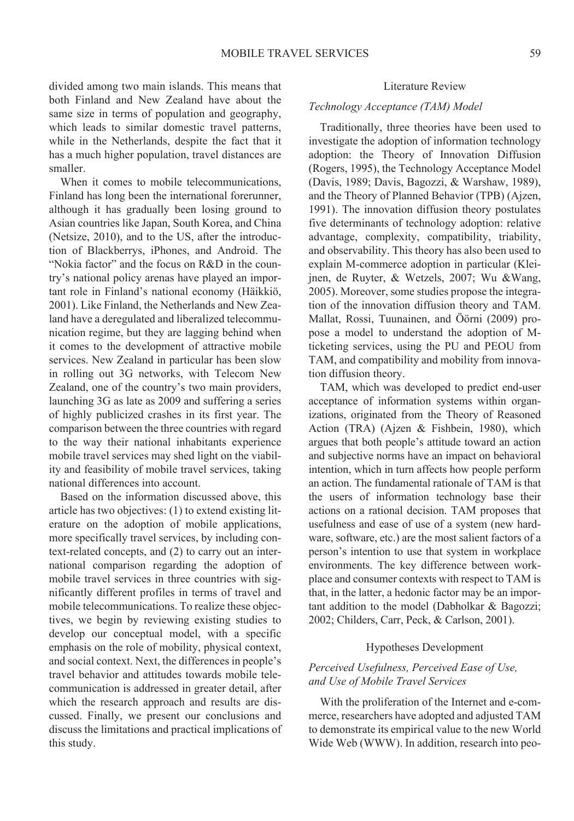divided among two main islands. This means that both Finland and New Zealand have about the same size in terms of population and geography, which leads to similar domestic travel patterns, while in the Netherlands, despite the fact that it has a much higher population, travel distances are smaller.

When it comes to mobile telecommunications, Finland has long been the international forerunner, although it has gradually been losing ground to Asian countries like Japan, South Korea, and China (Netsize, 2010), and to the US, after the introduction of Blackberrys, iPhones, and Android. The "Nokia factor" and the focus on R&D in the country's national policy arenas have played an important role in Finland's national economy (Häikkiö, 2001). Like Finland, the Netherlands and New Zealand have a deregulated and liberalized telecommunication regime, but they are lagging behind when it comes to the development of attractive mobile services. New Zealand in particular has been slow in rolling out 3G networks, with Telecom New Zealand, one of the country's two main providers, launching 3G as late as 2009 and suffering a series of highly publicized crashes in its first year. The comparison between the three countries with regard to the way their national inhabitants experience mobile travel services may shed light on the viability and feasibility of mobile travel services, taking national differences into account.

Based on the information discussed above, this article has two objectives: (1) to extend existing literature on the adoption of mobile applications, more specifically travel services, by including context-related concepts, and (2) to carry out an international comparison regarding the adoption of mobile travel services in three countries with significantly different profiles in terms of travel and mobile telecommunications. To realize these objectives, we begin by reviewing existing studies to develop our conceptual model, with a specific emphasis on the role of mobility, physical context, and social context. Next, the differences in people's travel behavior and attitudes towards mobile telecommunication is addressed in greater detail, after which the research approach and results are discussed. Finally, we present our conclusions and discuss the limitations and practical implications of this study.

#### Literature Review

## Technology Acceptance (TAM) Model

Traditionally, three theories have been used to investigate the adoption of information technology adoption: the Theory of Innovation Diffusion (Rogers, 1995), the Technology Acceptance Model (Davis, 1989; Davis, Bagozzi, & Warshaw, 1989), and the Theory of Planned Behavior (TPB) (Ajzen, 1991). The innovation diffusion theory postulates five determinants of technology adoption: relative advantage, complexity, compatibility, triability, and observability. This theory has also been used to explain M-commerce adoption in particular (Kleijnen, de Ruyter, & Wetzels, 2007; Wu & Wang, 2005). Moreover, some studies propose the integration of the innovation diffusion theory and TAM. Mallat, Rossi, Tuunainen, and Öörni (2009) propose a model to understand the adoption of Mticketing services, using the PU and PEOU from TAM, and compatibility and mobility from innovation diffusion theory.

TAM, which was developed to predict end-user acceptance of information systems within organizations, originated from the Theory of Reasoned Action (TRA) (Ajzen & Fishbein, 1980), which argues that both people's attitude toward an action and subjective norms have an impact on behavioral intention, which in turn affects how people perform an action. The fundamental rationale of TAM is that the users of information technology base their actions on a rational decision. TAM proposes that usefulness and ease of use of a system (new hardware, software, etc.) are the most salient factors of a person's intention to use that system in workplace environments. The key difference between workplace and consumer contexts with respect to TAM is that, in the latter, a hedonic factor may be an important addition to the model (Dabholkar & Bagozzi; 2002; Childers, Carr, Peck, & Carlson, 2001).

#### **Hypotheses Development**

## Perceived Usefulness, Perceived Ease of Use, and Use of Mobile Travel Services

With the proliferation of the Internet and e-commerce, researchers have adopted and adjusted TAM to demonstrate its empirical value to the new World Wide Web (WWW). In addition, research into peo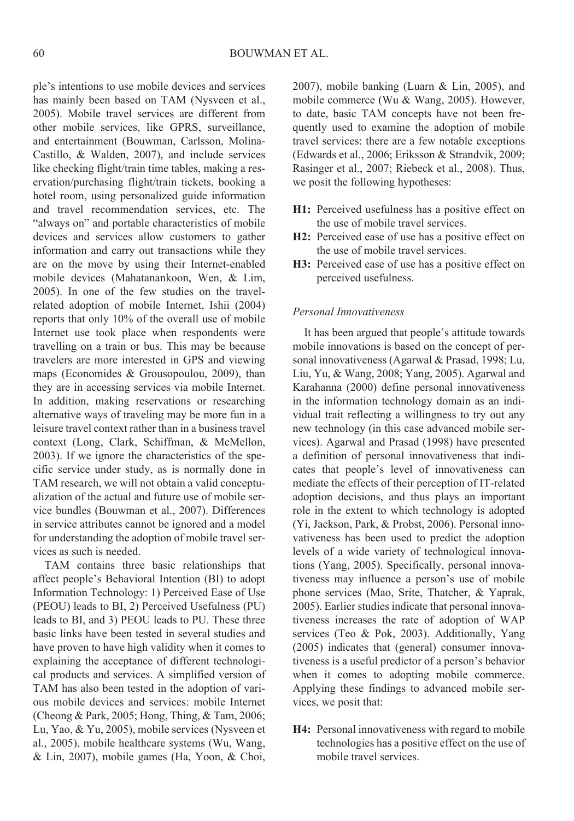**BOUWMAN ET AL.** 

ple's intentions to use mobile devices and services has mainly been based on TAM (Nysveen et al., 2005). Mobile travel services are different from other mobile services, like GPRS, surveillance, and entertainment (Bouwman, Carlsson, Molina-Castillo, & Walden, 2007), and include services like checking flight/train time tables, making a reservation/purchasing flight/train tickets, booking a hotel room, using personalized guide information and travel recommendation services, etc. The "always on" and portable characteristics of mobile devices and services allow customers to gather information and carry out transactions while they are on the move by using their Internet-enabled mobile devices (Mahatanankoon, Wen, & Lim, 2005). In one of the few studies on the travelrelated adoption of mobile Internet, Ishii (2004) reports that only 10% of the overall use of mobile Internet use took place when respondents were travelling on a train or bus. This may be because travelers are more interested in GPS and viewing maps (Economides & Grousopoulou, 2009), than they are in accessing services via mobile Internet. In addition, making reservations or researching alternative ways of traveling may be more fun in a leisure travel context rather than in a business travel context (Long, Clark, Schiffman, & McMellon, 2003). If we ignore the characteristics of the specific service under study, as is normally done in TAM research, we will not obtain a valid conceptualization of the actual and future use of mobile service bundles (Bouwman et al., 2007). Differences in service attributes cannot be ignored and a model for understanding the adoption of mobile travel services as such is needed.

TAM contains three basic relationships that affect people's Behavioral Intention (BI) to adopt Information Technology: 1) Perceived Ease of Use (PEOU) leads to BI, 2) Perceived Usefulness (PU) leads to BI, and 3) PEOU leads to PU. These three basic links have been tested in several studies and have proven to have high validity when it comes to explaining the acceptance of different technological products and services. A simplified version of TAM has also been tested in the adoption of various mobile devices and services: mobile Internet (Cheong & Park, 2005; Hong, Thing, & Tam, 2006; Lu, Yao, & Yu, 2005), mobile services (Nysveen et al., 2005), mobile healthcare systems (Wu, Wang, & Lin, 2007), mobile games (Ha, Yoon, & Choi,

2007), mobile banking (Luarn & Lin, 2005), and mobile commerce (Wu & Wang, 2005). However, to date, basic TAM concepts have not been frequently used to examine the adoption of mobile travel services: there are a few notable exceptions (Edwards et al., 2006; Eriksson & Strandvik, 2009; Rasinger et al., 2007; Riebeck et al., 2008). Thus, we posit the following hypotheses:

- H1: Perceived usefulness has a positive effect on the use of mobile travel services.
- H2: Perceived ease of use has a positive effect on the use of mobile travel services.
- **H3:** Perceived ease of use has a positive effect on perceived usefulness.

## Personal Innovativeness

It has been argued that people's attitude towards mobile innovations is based on the concept of personal innovativeness (Agarwal & Prasad, 1998; Lu, Liu, Yu, & Wang, 2008; Yang, 2005). Agarwal and Karahanna (2000) define personal innovativeness in the information technology domain as an individual trait reflecting a willingness to try out any new technology (in this case advanced mobile services). Agarwal and Prasad (1998) have presented a definition of personal innovativeness that indicates that people's level of innovativeness can mediate the effects of their perception of IT-related adoption decisions, and thus plays an important role in the extent to which technology is adopted (Yi, Jackson, Park, & Probst, 2006). Personal innovativeness has been used to predict the adoption levels of a wide variety of technological innovations (Yang, 2005). Specifically, personal innovativeness may influence a person's use of mobile phone services (Mao, Srite, Thatcher, & Yaprak, 2005). Earlier studies indicate that personal innovativeness increases the rate of adoption of WAP services (Teo & Pok, 2003). Additionally, Yang (2005) indicates that (general) consumer innovativeness is a useful predictor of a person's behavior when it comes to adopting mobile commerce. Applying these findings to advanced mobile services, we posit that:

H4: Personal innovativeness with regard to mobile technologies has a positive effect on the use of mobile travel services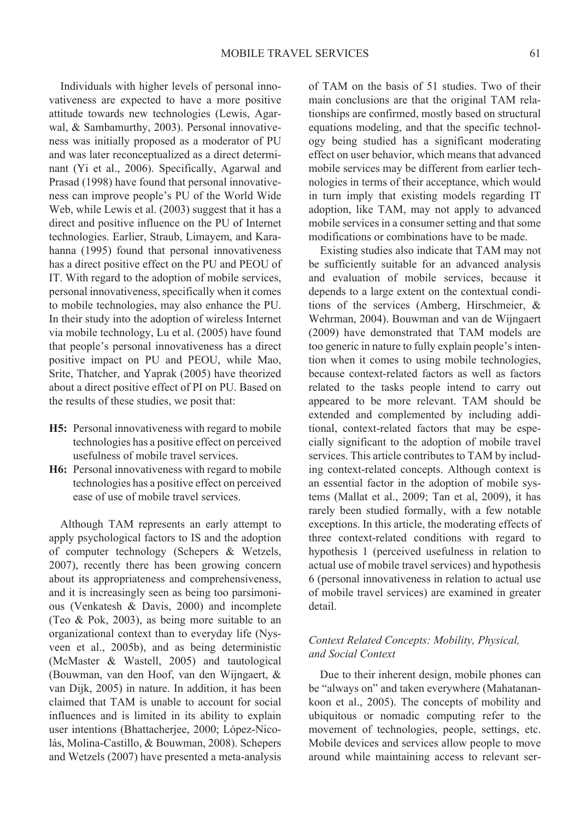Individuals with higher levels of personal innovativeness are expected to have a more positive attitude towards new technologies (Lewis, Agarwal, & Sambamurthy, 2003). Personal innovativeness was initially proposed as a moderator of PU and was later reconceptualized as a direct determinant (Yi et al., 2006). Specifically, Agarwal and Prasad (1998) have found that personal innovativeness can improve people's PU of the World Wide Web, while Lewis et al. (2003) suggest that it has a direct and positive influence on the PU of Internet technologies. Earlier, Straub, Limayem, and Karahanna (1995) found that personal innovativeness has a direct positive effect on the PU and PEOU of IT. With regard to the adoption of mobile services, personal innovativeness, specifically when it comes to mobile technologies, may also enhance the PU. In their study into the adoption of wireless Internet via mobile technology, Lu et al. (2005) have found that people's personal innovativeness has a direct positive impact on PU and PEOU, while Mao, Srite, Thatcher, and Yaprak (2005) have theorized about a direct positive effect of PI on PU. Based on the results of these studies, we posit that:

- H5: Personal innovativeness with regard to mobile technologies has a positive effect on perceived usefulness of mobile travel services.
- H6: Personal innovativeness with regard to mobile technologies has a positive effect on perceived ease of use of mobile travel services.

Although TAM represents an early attempt to apply psychological factors to IS and the adoption of computer technology (Schepers & Wetzels, 2007), recently there has been growing concern about its appropriateness and comprehensiveness, and it is increasingly seen as being too parsimonious (Venkatesh & Davis, 2000) and incomplete (Teo & Pok, 2003), as being more suitable to an organizational context than to everyday life (Nysveen et al., 2005b), and as being deterministic (McMaster & Wastell, 2005) and tautological (Bouwman, van den Hoof, van den Wijngaert, & van Dijk, 2005) in nature. In addition, it has been claimed that TAM is unable to account for social influences and is limited in its ability to explain user intentions (Bhattacherjee, 2000; López-Nicolás, Molina-Castillo, & Bouwman, 2008). Schepers and Wetzels (2007) have presented a meta-analysis of TAM on the basis of 51 studies. Two of their main conclusions are that the original TAM relationships are confirmed, mostly based on structural equations modeling, and that the specific technology being studied has a significant moderating effect on user behavior, which means that advanced mobile services may be different from earlier technologies in terms of their acceptance, which would in turn imply that existing models regarding IT adoption, like TAM, may not apply to advanced mobile services in a consumer setting and that some modifications or combinations have to be made.

Existing studies also indicate that TAM may not be sufficiently suitable for an advanced analysis and evaluation of mobile services, because it depends to a large extent on the contextual conditions of the services (Amberg, Hirschmeier, & Wehrman, 2004). Bouwman and van de Wijngaert (2009) have demonstrated that TAM models are too generic in nature to fully explain people's intention when it comes to using mobile technologies, because context-related factors as well as factors related to the tasks people intend to carry out appeared to be more relevant. TAM should be extended and complemented by including additional, context-related factors that may be especially significant to the adoption of mobile travel services. This article contributes to TAM by including context-related concepts. Although context is an essential factor in the adoption of mobile systems (Mallat et al., 2009; Tan et al, 2009), it has rarely been studied formally, with a few notable exceptions. In this article, the moderating effects of three context-related conditions with regard to hypothesis 1 (perceived usefulness in relation to actual use of mobile travel services) and hypothesis 6 (personal innovativeness in relation to actual use of mobile travel services) are examined in greater detail.

## Context Related Concepts: Mobility, Physical, and Social Context

Due to their inherent design, mobile phones can be "always on" and taken everywhere (Mahatanankoon et al., 2005). The concepts of mobility and ubiquitous or nomadic computing refer to the movement of technologies, people, settings, etc. Mobile devices and services allow people to move around while maintaining access to relevant ser-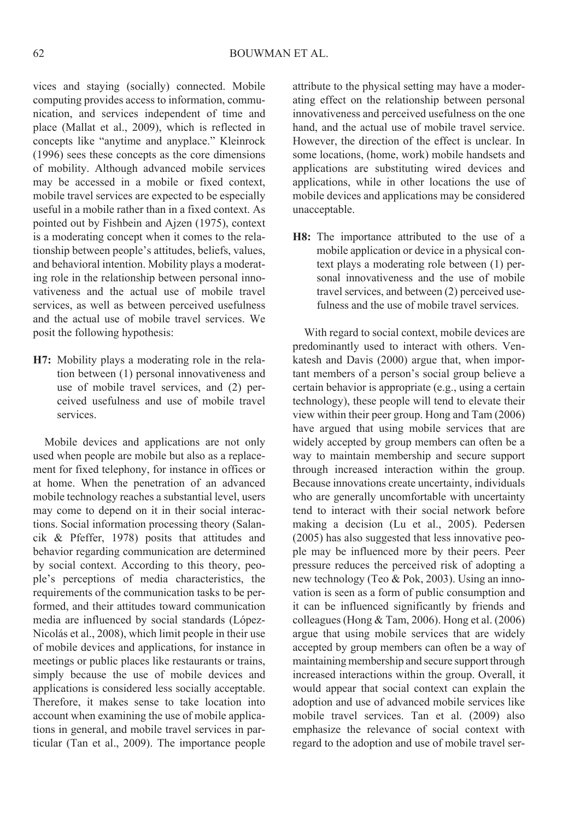vices and staying (socially) connected. Mobile computing provides access to information, communication, and services independent of time and place (Mallat et al., 2009), which is reflected in concepts like "anytime and anyplace." Kleinrock  $(1996)$  sees these concepts as the core dimensions of mobility. Although advanced mobile services may be accessed in a mobile or fixed context, mobile travel services are expected to be especially useful in a mobile rather than in a fixed context. As pointed out by Fishbein and Ajzen (1975), context is a moderating concept when it comes to the relationship between people's attitudes, beliefs, values, and behavioral intention. Mobility plays a moderating role in the relationship between personal innovativeness and the actual use of mobile travel services, as well as between perceived usefulness and the actual use of mobile travel services. We posit the following hypothesis:

H7: Mobility plays a moderating role in the relation between (1) personal innovativeness and use of mobile travel services, and (2) perceived usefulness and use of mobile travel services.

Mobile devices and applications are not only used when people are mobile but also as a replacement for fixed telephony, for instance in offices or at home. When the penetration of an advanced mobile technology reaches a substantial level, users may come to depend on it in their social interactions. Social information processing theory (Salancik & Pfeffer, 1978) posits that attitudes and behavior regarding communication are determined by social context. According to this theory, people's perceptions of media characteristics, the requirements of the communication tasks to be performed, and their attitudes toward communication media are influenced by social standards (López-Nicolás et al., 2008), which limit people in their use of mobile devices and applications, for instance in meetings or public places like restaurants or trains, simply because the use of mobile devices and applications is considered less socially acceptable. Therefore, it makes sense to take location into account when examining the use of mobile applications in general, and mobile travel services in particular (Tan et al., 2009). The importance people

attribute to the physical setting may have a moderating effect on the relationship between personal innovativeness and perceived usefulness on the one hand, and the actual use of mobile travel service. However, the direction of the effect is unclear. In some locations, (home, work) mobile handsets and applications are substituting wired devices and applications, while in other locations the use of mobile devices and applications may be considered unacceptable.

H8: The importance attributed to the use of a mobile application or device in a physical context plays a moderating role between (1) personal innovativeness and the use of mobile travel services, and between (2) perceived usefulness and the use of mobile travel services.

With regard to social context, mobile devices are predominantly used to interact with others. Venkatesh and Davis (2000) argue that, when important members of a person's social group believe a certain behavior is appropriate (e.g., using a certain technology), these people will tend to elevate their view within their peer group. Hong and Tam (2006) have argued that using mobile services that are widely accepted by group members can often be a way to maintain membership and secure support through increased interaction within the group. Because innovations create uncertainty, individuals who are generally uncomfortable with uncertainty tend to interact with their social network before making a decision (Lu et al., 2005). Pedersen (2005) has also suggested that less innovative people may be influenced more by their peers. Peer pressure reduces the perceived risk of adopting a new technology (Teo  $\&$  Pok, 2003). Using an innovation is seen as a form of public consumption and it can be influenced significantly by friends and colleagues (Hong  $&$  Tam, 2006). Hong et al. (2006) argue that using mobile services that are widely accepted by group members can often be a way of maintaining membership and secure support through increased interactions within the group. Overall, it would appear that social context can explain the adoption and use of advanced mobile services like mobile travel services. Tan et al. (2009) also emphasize the relevance of social context with regard to the adoption and use of mobile travel ser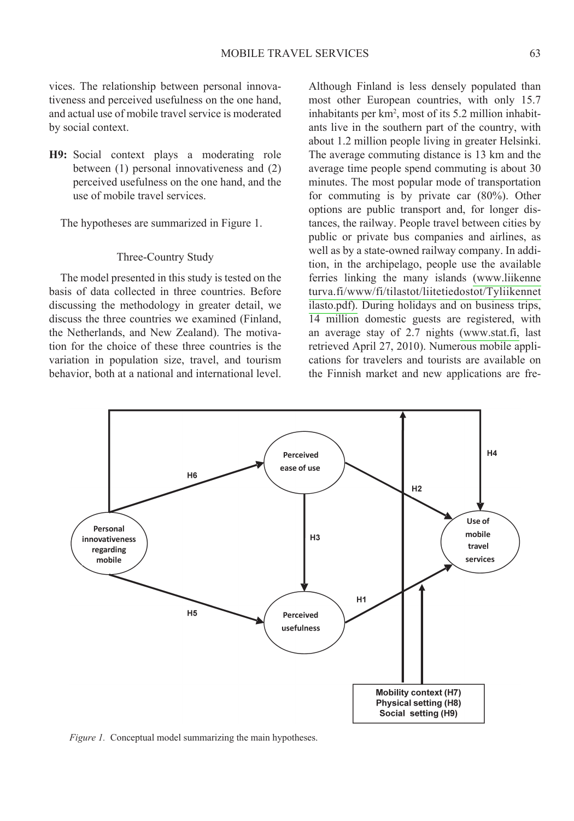vices. The relationship between personal innovativeness and perceived usefulness on the one hand, and actual use of mobile travel service is moderated by social context.

H9: Social context plays a moderating role between (1) personal innovativeness and (2) perceived usefulness on the one hand, and the use of mobile travel services.

The hypotheses are summarized in Figure 1.

## Three-Country Study

The model presented in this study is tested on the basis of data collected in three countries. Before discussing the methodology in greater detail, we discuss the three countries we examined (Finland, the Netherlands, and New Zealand). The motivation for the choice of these three countries is the variation in population size, travel, and tourism behavior, both at a national and international level.

Although Finland is less densely populated than most other European countries, with only 15.7 inhabitants per km<sup>2</sup>, most of its 5.2 million inhabitants live in the southern part of the country, with about 1.2 million people living in greater Helsinki. The average commuting distance is 13 km and the average time people spend commuting is about 30 minutes. The most popular mode of transportation for commuting is by private car  $(80\%)$ . Other options are public transport and, for longer distances, the railway. People travel between cities by public or private bus companies and airlines, as well as by a state-owned railway company. In addition, in the archipelago, people use the available ferries linking the many islands (www.liikenne turva.fi/www/fi/tilastot/liitetiedostot/Tyliikennet ilasto.pdf). During holidays and on business trips, 14 million domestic guests are registered, with an average stay of 2.7 nights (www.stat.fi, last retrieved April 27, 2010). Numerous mobile applications for travelers and tourists are available on the Finnish market and new applications are fre-



*Figure 1.* Conceptual model summarizing the main hypotheses.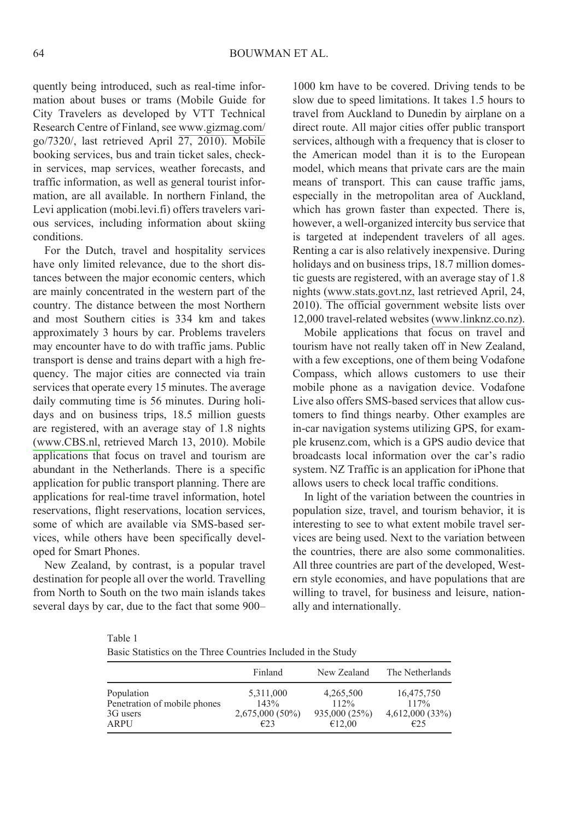**BOUWMAN ET AL.** 

quently being introduced, such as real-time information about buses or trams (Mobile Guide for City Travelers as developed by VTT Technical Research Centre of Finland, see www.gizmag.com/ go/7320/, last retrieved April 27, 2010). Mobile booking services, bus and train ticket sales, checkin services, map services, weather forecasts, and traffic information, as well as general tourist information, are all available. In northern Finland, the Levi application (mobi.levi.fi) offers travelers various services, including information about skiing conditions.

For the Dutch, travel and hospitality services have only limited relevance, due to the short distances between the major economic centers, which are mainly concentrated in the western part of the country. The distance between the most Northern and most Southern cities is 334 km and takes approximately 3 hours by car. Problems travelers may encounter have to do with traffic jams. Public transport is dense and trains depart with a high frequency. The major cities are connected via train services that operate every 15 minutes. The average daily commuting time is 56 minutes. During holidays and on business trips, 18.5 million guests are registered, with an average stay of 1.8 nights (www.CBS.nl, retrieved March 13, 2010). Mobile applications that focus on travel and tourism are abundant in the Netherlands. There is a specific application for public transport planning. There are applications for real-time travel information, hotel reservations, flight reservations, location services, some of which are available via SMS-based services, while others have been specifically developed for Smart Phones.

New Zealand, by contrast, is a popular travel destination for people all over the world. Travelling from North to South on the two main islands takes several days by car, due to the fact that some 900–

1000 km have to be covered. Driving tends to be slow due to speed limitations. It takes 1.5 hours to travel from Auckland to Dunedin by airplane on a direct route. All major cities offer public transport services, although with a frequency that is closer to the American model than it is to the European model, which means that private cars are the main means of transport. This can cause traffic jams, especially in the metropolitan area of Auckland, which has grown faster than expected. There is, however, a well-organized intercity bus service that is targeted at independent travelers of all ages. Renting a car is also relatively inexpensive. During holidays and on business trips, 18.7 million domestic guests are registered, with an average stay of 1.8 nights (www.stats.govt.nz, last retrieved April, 24, 2010). The official government website lists over 12,000 travel-related websites (www.linknz.co.nz).

Mobile applications that focus on travel and tourism have not really taken off in New Zealand, with a few exceptions, one of them being Vodafone Compass, which allows customers to use their mobile phone as a navigation device. Vodafone Live also offers SMS-based services that allow customers to find things nearby. Other examples are in-car navigation systems utilizing GPS, for example krusenz.com, which is a GPS audio device that broadcasts local information over the car's radio system. NZ Traffic is an application for iPhone that allows users to check local traffic conditions.

In light of the variation between the countries in population size, travel, and tourism behavior, it is interesting to see to what extent mobile travel services are being used. Next to the variation between the countries, there are also some commonalities. All three countries are part of the developed, Western style economies, and have populations that are willing to travel, for business and leisure, nationally and internationally.

Basic Statistics on the Three Countries Included in the Study

|                              | Finland           | New Zealand   | The Netherlands |
|------------------------------|-------------------|---------------|-----------------|
| Population                   | 5,311,000         | 4,265,500     | 16,475,750      |
| Penetration of mobile phones | 143%              | 112%          | 117%            |
| 3G users                     | $2,675,000(50\%)$ | 935,000 (25%) | 4,612,000(33%)  |
| ARPU                         | f23               | €12.00        | E25             |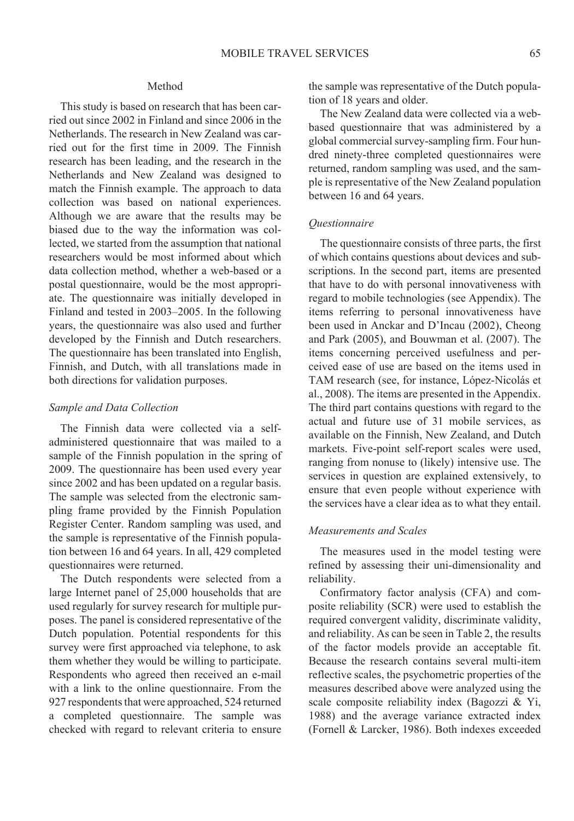#### Method

This study is based on research that has been carried out since 2002 in Finland and since 2006 in the Netherlands. The research in New Zealand was carried out for the first time in 2009. The Finnish research has been leading, and the research in the Netherlands and New Zealand was designed to match the Finnish example. The approach to data collection was based on national experiences. Although we are aware that the results may be biased due to the way the information was collected, we started from the assumption that national researchers would be most informed about which data collection method, whether a web-based or a postal questionnaire, would be the most appropriate. The questionnaire was initially developed in Finland and tested in 2003–2005. In the following years, the questionnaire was also used and further developed by the Finnish and Dutch researchers. The questionnaire has been translated into English, Finnish, and Dutch, with all translations made in both directions for validation purposes.

## Sample and Data Collection

The Finnish data were collected via a selfadministered questionnaire that was mailed to a sample of the Finnish population in the spring of 2009. The questionnaire has been used every year since 2002 and has been updated on a regular basis. The sample was selected from the electronic sampling frame provided by the Finnish Population Register Center. Random sampling was used, and the sample is representative of the Finnish population between 16 and 64 years. In all, 429 completed questionnaires were returned.

The Dutch respondents were selected from a large Internet panel of 25,000 households that are used regularly for survey research for multiple purposes. The panel is considered representative of the Dutch population. Potential respondents for this survey were first approached via telephone, to ask them whether they would be willing to participate. Respondents who agreed then received an e-mail with a link to the online questionnaire. From the 927 respondents that were approached, 524 returned a completed questionnaire. The sample was checked with regard to relevant criteria to ensure

the sample was representative of the Dutch population of 18 years and older.

The New Zealand data were collected via a webbased questionnaire that was administered by a global commercial survey-sampling firm. Four hundred ninety-three completed questionnaires were returned, random sampling was used, and the sample is representative of the New Zealand population between 16 and 64 years.

## Questionnaire

The questionnaire consists of three parts, the first of which contains questions about devices and subscriptions. In the second part, items are presented that have to do with personal innovativeness with regard to mobile technologies (see Appendix). The items referring to personal innovativeness have been used in Anckar and D'Incau (2002), Cheong and Park (2005), and Bouwman et al. (2007). The items concerning perceived usefulness and perceived ease of use are based on the items used in TAM research (see, for instance, López-Nicolás et al., 2008). The items are presented in the Appendix. The third part contains questions with regard to the actual and future use of 31 mobile services, as available on the Finnish, New Zealand, and Dutch markets. Five-point self-report scales were used, ranging from nonuse to (likely) intensive use. The services in question are explained extensively, to ensure that even people without experience with the services have a clear idea as to what they entail.

## Measurements and Scales

The measures used in the model testing were refined by assessing their uni-dimensionality and reliability.

Confirmatory factor analysis (CFA) and composite reliability (SCR) were used to establish the required convergent validity, discriminate validity, and reliability. As can be seen in Table 2, the results of the factor models provide an acceptable fit. Because the research contains several multi-item reflective scales, the psychometric properties of the measures described above were analyzed using the scale composite reliability index (Bagozzi & Yi, 1988) and the average variance extracted index (Fornell & Larcker, 1986). Both indexes exceeded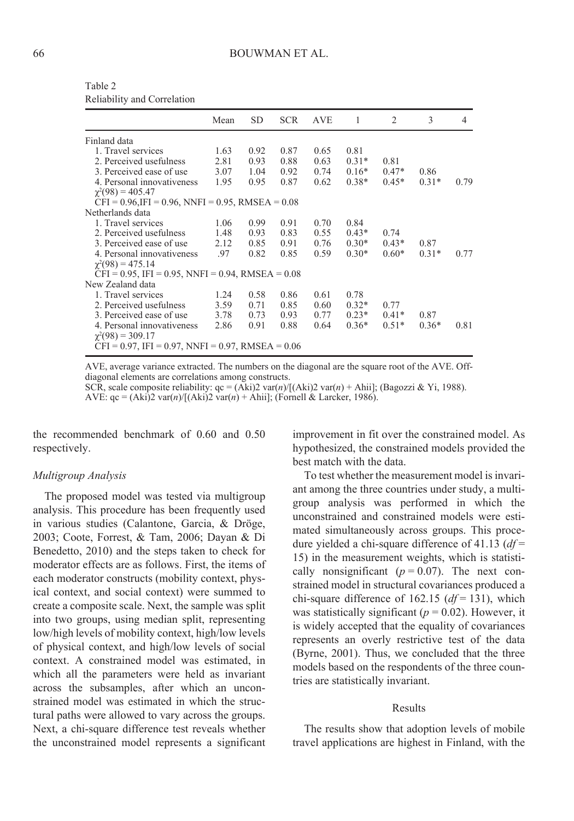| ٠                   | ۰,<br>I     |
|---------------------|-------------|
| I<br>. .            | ٦           |
| ۰,<br>۰,<br>×<br>۰. | ×<br>×<br>٧ |

| Table 2                     |  |
|-----------------------------|--|
| Reliability and Correlation |  |

|                                                              | Mean | <b>SD</b> | <b>SCR</b> | <b>AVE</b> | 1       | 2       | 3       | 4    |
|--------------------------------------------------------------|------|-----------|------------|------------|---------|---------|---------|------|
| Finland data                                                 |      |           |            |            |         |         |         |      |
| 1. Travel services                                           | 1.63 | 0.92      | 0.87       | 0.65       | 0.81    |         |         |      |
| 2. Perceived usefulness                                      | 2.81 | 0.93      | 0.88       | 0.63       | $0.31*$ | 0.81    |         |      |
| 3. Perceived ease of use                                     | 3.07 | 1.04      | 0.92       | 0.74       | $0.16*$ | $0.47*$ | 0.86    |      |
| 4. Personal innovativeness                                   | 1.95 | 0.95      | 0.87       | 0.62       | $0.38*$ | $0.45*$ | $0.31*$ | 0.79 |
| $\gamma^2(98) = 405.47$                                      |      |           |            |            |         |         |         |      |
| $CFI = 0.96$ , $IFI = 0.96$ , $NNFI = 0.95$ , $RMSEA = 0.08$ |      |           |            |            |         |         |         |      |
| Netherlands data                                             |      |           |            |            |         |         |         |      |
| 1. Travel services                                           | 1.06 | 0.99      | 0.91       | 0.70       | 0.84    |         |         |      |
| 2. Perceived usefulness                                      | 1.48 | 0.93      | 0.83       | 0.55       | $0.43*$ | 0.74    |         |      |
| 3. Perceived ease of use                                     | 2.12 | 0.85      | 0.91       | 0.76       | $0.30*$ | $0.43*$ | 0.87    |      |
| 4. Personal innovativeness                                   | .97  | 0.82      | 0.85       | 0.59       | $0.30*$ | $0.60*$ | $0.31*$ | 0.77 |
| $\gamma^2(98) = 475.14$                                      |      |           |            |            |         |         |         |      |
| $CFI = 0.95$ , IFI = 0.95, NNFI = 0.94, RMSEA = 0.08         |      |           |            |            |         |         |         |      |
| New Zealand data                                             |      |           |            |            |         |         |         |      |
| 1. Travel services                                           | 1.24 | 0.58      | 0.86       | 0.61       | 0.78    |         |         |      |
| 2. Perceived usefulness                                      | 3.59 | 0.71      | 0.85       | 0.60       | $0.32*$ | 0.77    |         |      |
| 3. Perceived ease of use                                     | 3.78 | 0.73      | 0.93       | 0.77       | $0.23*$ | $0.41*$ | 0.87    |      |
| 4. Personal innovativeness                                   | 2.86 | 0.91      | 0.88       | 0.64       | $0.36*$ | $0.51*$ | $0.36*$ | 0.81 |
|                                                              |      |           |            |            |         |         |         |      |
| $\chi^2(98) = 309.17$                                        |      |           |            |            |         |         |         |      |
| $CFI = 0.97$ , IFI = 0.97, NNFI = 0.97, RMSEA = 0.06         |      |           |            |            |         |         |         |      |

AVE, average variance extracted. The numbers on the diagonal are the square root of the AVE. Offdiagonal elements are correlations among constructs.

SCR, scale composite reliability:  $qc = (Aki)2 \text{ var}(n)/[(Aki)2 \text{ var}(n) + Ahii]$ ; (Bagozzi & Yi, 1988).

AVE:  $qc = (Aki)2 \text{ var}(n)/[(Aki)2 \text{ var}(n) + Ahii]$ ; (Fornell & Larcker, 1986).

the recommended benchmark of 0.60 and 0.50 respectively.

## Multigroup Analysis

The proposed model was tested via multigroup analysis. This procedure has been frequently used in various studies (Calantone, Garcia, & Dröge, 2003; Coote, Forrest, & Tam, 2006; Dayan & Di Benedetto, 2010) and the steps taken to check for moderator effects are as follows. First, the items of each moderator constructs (mobility context, physical context, and social context) were summed to create a composite scale. Next, the sample was split into two groups, using median split, representing low/high levels of mobility context, high/low levels of physical context, and high/low levels of social context. A constrained model was estimated, in which all the parameters were held as invariant across the subsamples, after which an unconstrained model was estimated in which the structural paths were allowed to vary across the groups. Next, a chi-square difference test reveals whether the unconstrained model represents a significant

improvement in fit over the constrained model. As hypothesized, the constrained models provided the best match with the data.

To test whether the measurement model is invariant among the three countries under study, a multigroup analysis was performed in which the unconstrained and constrained models were estimated simultaneously across groups. This procedure yielded a chi-square difference of 41.13 ( $df$  = 15) in the measurement weights, which is statistically nonsignificant ( $p = 0.07$ ). The next constrained model in structural covariances produced a chi-square difference of 162.15 ( $df = 131$ ), which was statistically significant ( $p = 0.02$ ). However, it is widely accepted that the equality of covariances represents an overly restrictive test of the data (Byrne, 2001). Thus, we concluded that the three models based on the respondents of the three countries are statistically invariant.

#### Results

The results show that adoption levels of mobile travel applications are highest in Finland, with the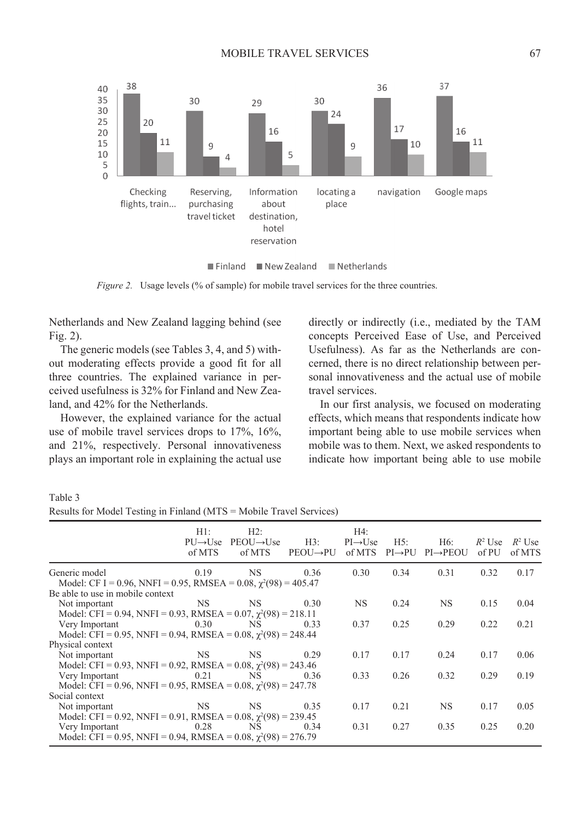

Finland New Zealand  $\blacksquare$  Netherlands

*Figure 2.* Usage levels (% of sample) for mobile travel services for the three countries.

Netherlands and New Zealand lagging behind (see Fig. 2).

The generic models (see Tables 3, 4, and 5) without moderating effects provide a good fit for all three countries. The explained variance in perceived usefulness is 32% for Finland and New Zealand, and 42% for the Netherlands.

However, the explained variance for the actual use of mobile travel services drops to  $17\%$ ,  $16\%$ , and 21%, respectively. Personal innovativeness plays an important role in explaining the actual use directly or indirectly (i.e., mediated by the TAM concepts Perceived Ease of Use, and Perceived Usefulness). As far as the Netherlands are concerned, there is no direct relationship between personal innovativeness and the actual use of mobile travel services.

In our first analysis, we focused on moderating effects, which means that respondents indicate how important being able to use mobile services when mobile was to them. Next, we asked respondents to indicate how important being able to use mobile

## Table 3

Results for Model Testing in Finland (MTS = Mobile Travel Services)

|                                                                         | H1:<br>$PU \rightarrow Use$<br>of MTS | H2:<br>$PEOU \rightarrow Use$<br>of MTS | H3:<br>$PEOU \rightarrow PU$ | H4:<br>$PI \rightarrow Use$<br>of MTS | H5:  | H6:<br>$PI \rightarrow PU$ $PI \rightarrow PEOU$ | $R^2$ Use<br>of PU | $R^2$ Use<br>of MTS |
|-------------------------------------------------------------------------|---------------------------------------|-----------------------------------------|------------------------------|---------------------------------------|------|--------------------------------------------------|--------------------|---------------------|
| Generic model                                                           | 0.19                                  | NS.                                     | 0.36                         | 0.30                                  | 0.34 | 0.31                                             | 0.32               | 0.17                |
| Model: CF I = 0.96, NNFI = 0.95, RMSEA = 0.08, $\gamma^2$ (98) = 405.47 |                                       |                                         |                              |                                       |      |                                                  |                    |                     |
| Be able to use in mobile context                                        |                                       |                                         |                              |                                       |      |                                                  |                    |                     |
| Not important                                                           | NS.                                   | NS.                                     | 0.30                         | <b>NS</b>                             | 0.24 | <b>NS</b>                                        | 0.15               | 0.04                |
| Model: CFI = 0.94, NNFI = 0.93, RMSEA = 0.07, $\gamma^2(98) = 218.11$   |                                       |                                         |                              |                                       |      |                                                  |                    |                     |
| Very Important                                                          | 0.30                                  | NS.                                     | 0.33                         | 0.37                                  | 0.25 | 0.29                                             | 0.22               | 0.21                |
| Model: CFI = 0.95, NNFI = 0.94, RMSEA = 0.08, $\chi^2(98) = 248.44$     |                                       |                                         |                              |                                       |      |                                                  |                    |                     |
| Physical context                                                        |                                       |                                         |                              |                                       |      |                                                  |                    |                     |
| Not important                                                           | NS.                                   | NS.                                     | 0.29                         | 0.17                                  | 0.17 | 0.24                                             | 0.17               | 0.06                |
| Model: CFI = 0.93, NNFI = 0.92, RMSEA = 0.08, $\chi^2(98) = 243.46$     |                                       |                                         |                              |                                       |      |                                                  |                    |                     |
| Very Important                                                          | 0.21                                  | NS.                                     | 0.36                         | 0.33                                  | 0.26 | 0.32                                             | 0.29               | 0.19                |
| Model: CFI = 0.96, NNFI = 0.95, RMSEA = 0.08, $\gamma^2(98) = 247.78$   |                                       |                                         |                              |                                       |      |                                                  |                    |                     |
| Social context                                                          |                                       |                                         |                              |                                       |      |                                                  |                    |                     |
| Not important                                                           | NS.                                   | NS.                                     | 0.35                         | 0.17                                  | 0.21 | <b>NS</b>                                        | 0.17               | 0.05                |
| Model: CFI = 0.92, NNFI = 0.91, RMSEA = 0.08, $\gamma^2(98) = 239.45$   |                                       |                                         |                              |                                       |      |                                                  |                    |                     |
| Very Important                                                          | 0.28                                  | NS.                                     | 0.34                         | 0.31                                  | 0.27 | 0.35                                             | 0.25               | 0.20                |
| Model: CFI = 0.95, NNFI = 0.94, RMSEA = 0.08, $\gamma^2(98) = 276.79$   |                                       |                                         |                              |                                       |      |                                                  |                    |                     |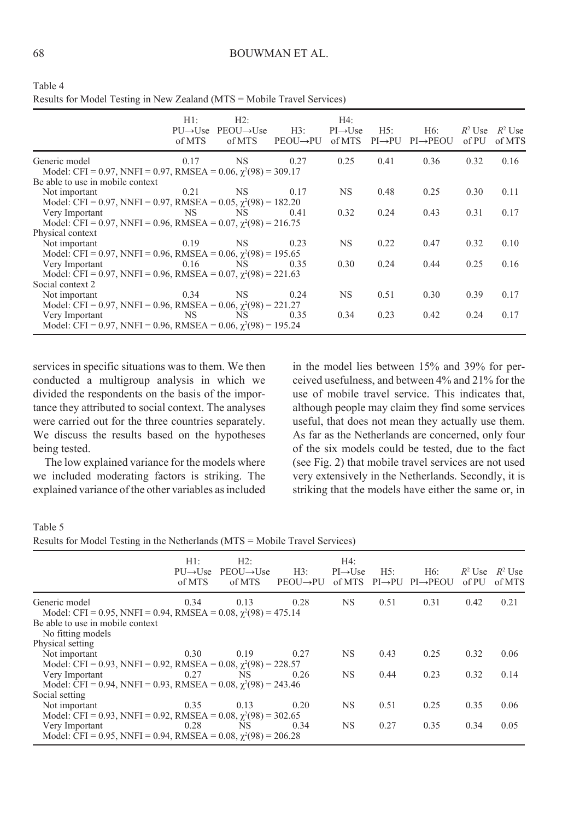| Table 4                                                                 |  |
|-------------------------------------------------------------------------|--|
| Results for Model Testing in New Zealand (MTS = Mobile Travel Services) |  |

|                                                                        | H1:<br>$PU \rightarrow Use$<br>of MTS | H2:<br>$PEOU \rightarrow Use$<br>of MTS | H3:<br>$PEOU \rightarrow PU$ | H4:<br>$PI \rightarrow Use$<br>of MTS | H5:<br>$PI \rightarrow PU$ | H6:<br>$PI \rightarrow PEOU$ | $R^2$ Use<br>of PU | $R^2$ Use<br>of MTS |
|------------------------------------------------------------------------|---------------------------------------|-----------------------------------------|------------------------------|---------------------------------------|----------------------------|------------------------------|--------------------|---------------------|
| Generic model                                                          | 0.17                                  | <b>NS</b>                               | 0.27                         | 0.25                                  | 0.41                       | 0.36                         | 0.32               | 0.16                |
| Model: CFI = 0.97, NNFI = 0.97, RMSEA = 0.06, $\chi^2(98) = 309.17$    |                                       |                                         |                              |                                       |                            |                              |                    |                     |
| Be able to use in mobile context                                       |                                       |                                         |                              |                                       |                            |                              |                    |                     |
| Not important                                                          | 0.21                                  | NS.                                     | 0.17                         | <b>NS</b>                             | 0.48                       | 0.25                         | 0.30               | 0.11                |
| Model: CFI = 0.97, NNFI = 0.97, RMSEA = 0.05, $\chi^2(98) = 182.20$    |                                       |                                         |                              |                                       |                            |                              |                    |                     |
| Very Important                                                         | NS.                                   | NS.                                     | 0.41                         | 0.32                                  | 0.24                       | 0.43                         | 0.31               | 0.17                |
| Model: CFI = 0.97, NNFI = 0.96, RMSEA = 0.07, $\gamma^2$ (98) = 216.75 |                                       |                                         |                              |                                       |                            |                              |                    |                     |
| Physical context                                                       |                                       |                                         |                              |                                       |                            |                              |                    |                     |
| Not important                                                          | 0.19                                  | <b>NS</b>                               | 0.23                         | <b>NS</b>                             | 0.22                       | 0.47                         | 0.32               | 0.10                |
| Model: CFI = 0.97, NNFI = 0.96, RMSEA = 0.06, $\gamma^2(98) = 195.65$  |                                       |                                         |                              |                                       |                            |                              |                    |                     |
| Very Important                                                         | 0.16                                  | NS.                                     | 0.35                         | 0.30                                  | 0.24                       | 0.44                         | 0.25               | 0.16                |
| Model: CFI = 0.97, NNFI = 0.96, RMSEA = 0.07, $\gamma^2(98) = 221.63$  |                                       |                                         |                              |                                       |                            |                              |                    |                     |
| Social context 2                                                       |                                       |                                         |                              |                                       |                            |                              |                    |                     |
| 0.34<br>Not important                                                  |                                       | NS.                                     | 0.24                         | <b>NS</b>                             | 0.51                       | 0.30                         | 0.39               | 0.17                |
| Model: CFI = 0.97, NNFI = 0.96, RMSEA = 0.06, $\chi^2(98) = 221.27$    |                                       |                                         |                              |                                       |                            |                              |                    |                     |
| Very Important                                                         | <b>NS</b>                             | <b>NS</b>                               | 0.35                         | 0.34                                  | 0.23                       | 0.42                         | 0.24               | 0.17                |
| Model: CFI = 0.97, NNFI = 0.96, RMSEA = 0.06, $\chi^2(98) = 195.24$    |                                       |                                         |                              |                                       |                            |                              |                    |                     |

services in specific situations was to them. We then conducted a multigroup analysis in which we divided the respondents on the basis of the importance they attributed to social context. The analyses were carried out for the three countries separately. We discuss the results based on the hypotheses being tested.

The low explained variance for the models where we included moderating factors is striking. The explained variance of the other variables as included

in the model lies between 15% and 39% for perceived usefulness, and between 4% and 21% for the use of mobile travel service. This indicates that, although people may claim they find some services useful, that does not mean they actually use them. As far as the Netherlands are concerned, only four of the six models could be tested, due to the fact (see Fig. 2) that mobile travel services are not used very extensively in the Netherlands. Secondly, it is striking that the models have either the same or, in

#### Table 5 Results for Model Testing in the Netherlands (MTS = Mobile Travel Services)

|                                                                                          | H1:<br>$PU \rightarrow Use$<br>of MTS | $H2$ :<br>$PEOU \rightarrow Use$<br>of MTS | H3:<br>$PEOU \rightarrow PU$ | H4:<br>$PI \rightarrow Use$<br>of MTS | H5:  | H6:<br>$PI \rightarrow PU$ $PI \rightarrow PEOU$ | $R^2$ Use<br>of PU | $R^2$ Use<br>of MTS |
|------------------------------------------------------------------------------------------|---------------------------------------|--------------------------------------------|------------------------------|---------------------------------------|------|--------------------------------------------------|--------------------|---------------------|
| Generic model<br>Model: CFI = 0.95, NNFI = 0.94, RMSEA = 0.08, $\gamma^2$ (98) = 475.14  | 0.34                                  | 0.13                                       | 0.28                         | <b>NS</b>                             | 0.51 | 0.31                                             | 0.42               | 0.21                |
| Be able to use in mobile context<br>No fitting models                                    |                                       |                                            |                              |                                       |      |                                                  |                    |                     |
| Physical setting                                                                         |                                       |                                            |                              |                                       |      |                                                  |                    |                     |
| Not important                                                                            | 0.30                                  | 0.19                                       | 0.27                         | <b>NS</b>                             | 0.43 | 0.25                                             | 0.32               | 0.06                |
| Model: CFI = 0.93, NNFI = 0.92, RMSEA = 0.08, $\gamma^2(98) = 228.57$                    |                                       |                                            |                              |                                       |      |                                                  |                    |                     |
| Very Important                                                                           | 0.27                                  | NS.                                        | 0.26                         | <b>NS</b>                             | 0.44 | 0.23                                             | 0.32               | 0.14                |
| Model: CFI = 0.94, NNFI = 0.93, RMSEA = 0.08, $\gamma^2(98) = 243.46$                    |                                       |                                            |                              |                                       |      |                                                  |                    |                     |
| Social setting                                                                           |                                       |                                            |                              |                                       |      |                                                  |                    |                     |
| Not important                                                                            | 0.35                                  | 0.13                                       | 0.20                         | NS                                    | 0.51 | 0.25                                             | 0.35               | 0.06                |
| Model: CFI = 0.93, NNFI = 0.92, RMSEA = 0.08, $\chi^2(98) = 302.65$                      |                                       |                                            |                              |                                       |      |                                                  |                    |                     |
| Very Important<br>Model: CFI = 0.95, NNFI = 0.94, RMSEA = 0.08, $\gamma^2$ (98) = 206.28 | 0.28                                  | NS                                         | 0.34                         | <b>NS</b>                             | 0.27 | 0.35                                             | 0.34               | 0.05                |
|                                                                                          |                                       |                                            |                              |                                       |      |                                                  |                    |                     |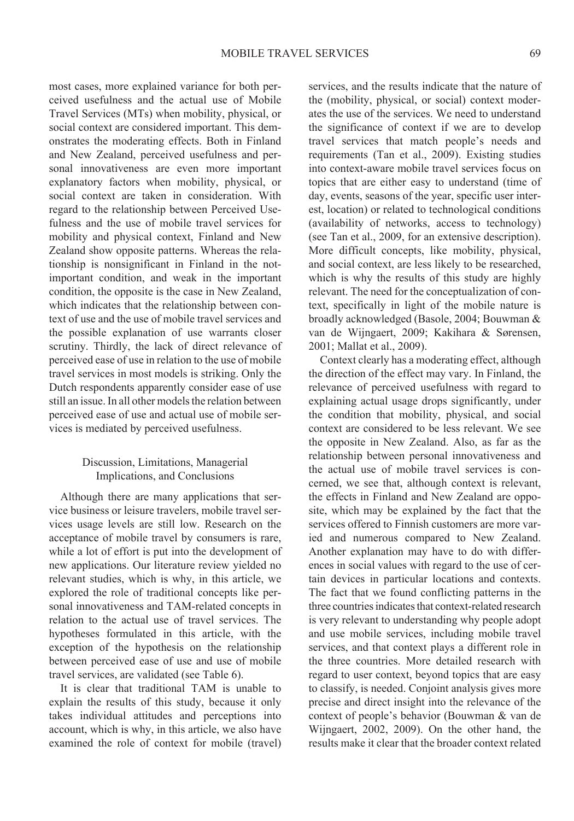most cases, more explained variance for both perceived usefulness and the actual use of Mobile Travel Services (MTs) when mobility, physical, or social context are considered important. This demonstrates the moderating effects. Both in Finland and New Zealand, perceived usefulness and personal innovativeness are even more important explanatory factors when mobility, physical, or social context are taken in consideration. With regard to the relationship between Perceived Usefulness and the use of mobile travel services for mobility and physical context, Finland and New Zealand show opposite patterns. Whereas the relationship is nonsignificant in Finland in the notimportant condition, and weak in the important condition, the opposite is the case in New Zealand, which indicates that the relationship between context of use and the use of mobile travel services and the possible explanation of use warrants closer scrutiny. Thirdly, the lack of direct relevance of perceived ease of use in relation to the use of mobile travel services in most models is striking. Only the Dutch respondents apparently consider ease of use still an issue. In all other models the relation between perceived ease of use and actual use of mobile services is mediated by perceived usefulness.

## Discussion, Limitations, Managerial Implications, and Conclusions

Although there are many applications that service business or leisure travelers, mobile travel services usage levels are still low. Research on the acceptance of mobile travel by consumers is rare, while a lot of effort is put into the development of new applications. Our literature review yielded no relevant studies, which is why, in this article, we explored the role of traditional concepts like personal innovativeness and TAM-related concepts in relation to the actual use of travel services. The hypotheses formulated in this article, with the exception of the hypothesis on the relationship between perceived ease of use and use of mobile travel services, are validated (see Table 6).

It is clear that traditional TAM is unable to explain the results of this study, because it only takes individual attitudes and perceptions into account, which is why, in this article, we also have examined the role of context for mobile (travel)

services, and the results indicate that the nature of the (mobility, physical, or social) context moderates the use of the services. We need to understand the significance of context if we are to develop travel services that match people's needs and requirements (Tan et al., 2009). Existing studies into context-aware mobile travel services focus on topics that are either easy to understand (time of day, events, seasons of the year, specific user interest, location) or related to technological conditions (availability of networks, access to technology) (see Tan et al., 2009, for an extensive description). More difficult concepts, like mobility, physical, and social context, are less likely to be researched, which is why the results of this study are highly relevant. The need for the conceptualization of context, specifically in light of the mobile nature is broadly acknowledged (Basole, 2004; Bouwman & van de Wijngaert, 2009; Kakihara & Sørensen, 2001; Mallat et al., 2009).

Context clearly has a moderating effect, although the direction of the effect may vary. In Finland, the relevance of perceived usefulness with regard to explaining actual usage drops significantly, under the condition that mobility, physical, and social context are considered to be less relevant. We see the opposite in New Zealand. Also, as far as the relationship between personal innovativeness and the actual use of mobile travel services is concerned, we see that, although context is relevant, the effects in Finland and New Zealand are opposite, which may be explained by the fact that the services offered to Finnish customers are more varied and numerous compared to New Zealand. Another explanation may have to do with differences in social values with regard to the use of certain devices in particular locations and contexts. The fact that we found conflicting patterns in the three countries indicates that context-related research is very relevant to understanding why people adopt and use mobile services, including mobile travel services, and that context plays a different role in the three countries. More detailed research with regard to user context, beyond topics that are easy to classify, is needed. Conjoint analysis gives more precise and direct insight into the relevance of the context of people's behavior (Bouwman & van de Wijngaert, 2002, 2009). On the other hand, the results make it clear that the broader context related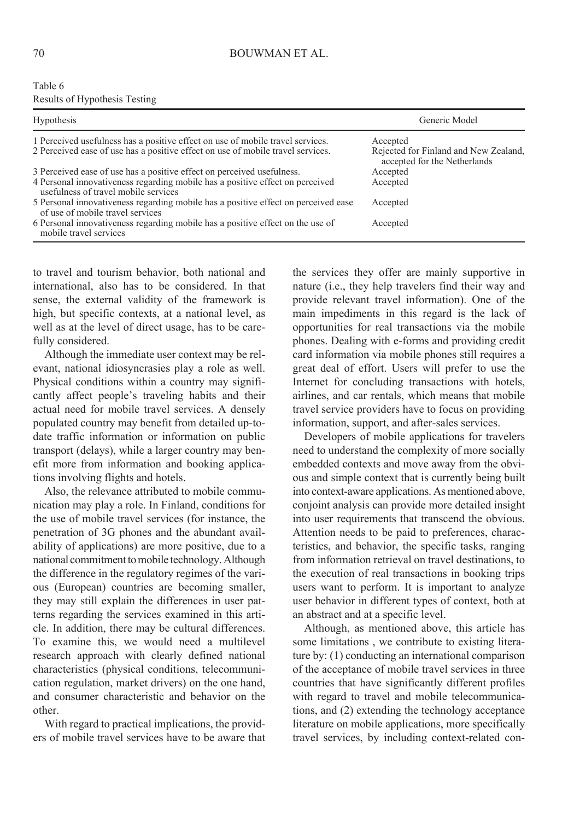#### **BOUWMAN ET AL.**

| Table 6                       |  |
|-------------------------------|--|
| Results of Hypothesis Testing |  |

| <b>Hypothesis</b>                                                                                                      | Generic Model                                                         |
|------------------------------------------------------------------------------------------------------------------------|-----------------------------------------------------------------------|
| 1 Perceived usefulness has a positive effect on use of mobile travel services.                                         | Accepted                                                              |
| 2 Perceived ease of use has a positive effect on use of mobile travel services.                                        | Rejected for Finland and New Zealand,<br>accepted for the Netherlands |
| 3 Perceived ease of use has a positive effect on perceived usefulness.                                                 | Accepted                                                              |
| 4 Personal innovativeness regarding mobile has a positive effect on perceived<br>usefulness of travel mobile services  | Accepted                                                              |
| 5 Personal innovativeness regarding mobile has a positive effect on perceived ease<br>of use of mobile travel services | Accepted                                                              |
| 6 Personal innovativeness regarding mobile has a positive effect on the use of<br>mobile travel services               | Accepted                                                              |

to travel and tourism behavior, both national and international, also has to be considered. In that sense, the external validity of the framework is high, but specific contexts, at a national level, as well as at the level of direct usage, has to be carefully considered.

Although the immediate user context may be relevant, national idiosyncrasies play a role as well. Physical conditions within a country may significantly affect people's traveling habits and their actual need for mobile travel services. A densely populated country may benefit from detailed up-todate traffic information or information on public transport (delays), while a larger country may benefit more from information and booking applications involving flights and hotels.

Also, the relevance attributed to mobile communication may play a role. In Finland, conditions for the use of mobile travel services (for instance, the penetration of 3G phones and the abundant availability of applications) are more positive, due to a national commitment to mobile technology. Although the difference in the regulatory regimes of the various (European) countries are becoming smaller, they may still explain the differences in user patterns regarding the services examined in this article. In addition, there may be cultural differences. To examine this, we would need a multilevel research approach with clearly defined national characteristics (physical conditions, telecommunication regulation, market drivers) on the one hand. and consumer characteristic and behavior on the other

With regard to practical implications, the providers of mobile travel services have to be aware that

the services they offer are mainly supportive in nature (i.e., they help travelers find their way and provide relevant travel information). One of the main impediments in this regard is the lack of opportunities for real transactions via the mobile phones. Dealing with e-forms and providing credit card information via mobile phones still requires a great deal of effort. Users will prefer to use the Internet for concluding transactions with hotels. airlines, and car rentals, which means that mobile travel service providers have to focus on providing information, support, and after-sales services.

Developers of mobile applications for travelers need to understand the complexity of more socially embedded contexts and move away from the obvious and simple context that is currently being built into context-aware applications. As mentioned above, conjoint analysis can provide more detailed insight into user requirements that transcend the obvious. Attention needs to be paid to preferences, characteristics, and behavior, the specific tasks, ranging from information retrieval on travel destinations, to the execution of real transactions in booking trips users want to perform. It is important to analyze user behavior in different types of context, both at an abstract and at a specific level.

Although, as mentioned above, this article has some limitations, we contribute to existing literature by:  $(1)$  conducting an international comparison of the acceptance of mobile travel services in three countries that have significantly different profiles with regard to travel and mobile telecommunications, and  $(2)$  extending the technology acceptance literature on mobile applications, more specifically travel services, by including context-related con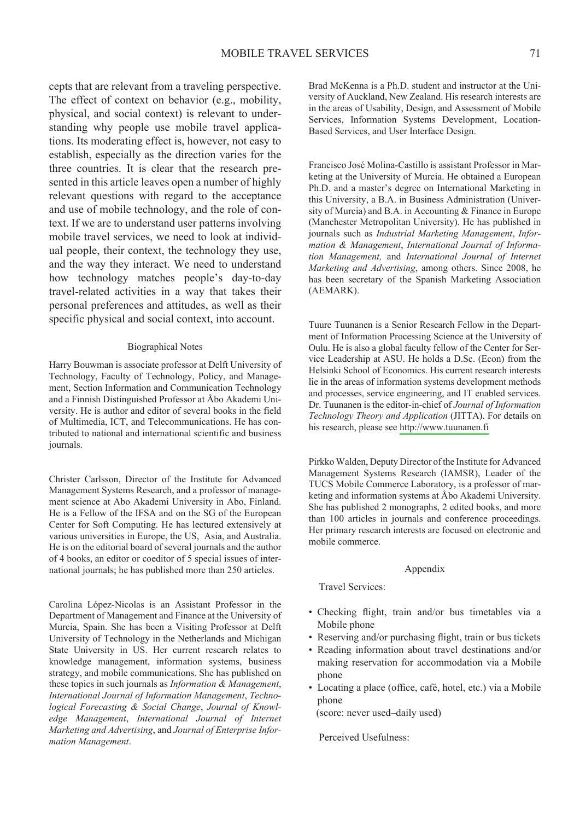cepts that are relevant from a traveling perspective. The effect of context on behavior (e.g., mobility, physical, and social context) is relevant to understanding why people use mobile travel applications. Its moderating effect is, however, not easy to establish, especially as the direction varies for the three countries. It is clear that the research presented in this article leaves open a number of highly relevant questions with regard to the acceptance and use of mobile technology, and the role of context. If we are to understand user patterns involving mobile travel services, we need to look at individual people, their context, the technology they use, and the way they interact. We need to understand how technology matches people's day-to-day travel-related activities in a way that takes their personal preferences and attitudes, as well as their specific physical and social context, into account.

#### **Biographical Notes**

Harry Bouwman is associate professor at Delft University of Technology, Faculty of Technology, Policy, and Management, Section Information and Communication Technology and a Finnish Distinguished Professor at Åbo Akademi University. He is author and editor of several books in the field of Multimedia, ICT, and Telecommunications. He has contributed to national and international scientific and business journals.

Christer Carlsson. Director of the Institute for Advanced Management Systems Research, and a professor of management science at Abo Akademi University in Abo, Finland. He is a Fellow of the IFSA and on the SG of the European Center for Soft Computing. He has lectured extensively at various universities in Europe, the US, Asia, and Australia. He is on the editorial board of several journals and the author of 4 books, an editor or coeditor of 5 special issues of international journals; he has published more than 250 articles.

Carolina López-Nicolas is an Assistant Professor in the Department of Management and Finance at the University of Murcia, Spain. She has been a Visiting Professor at Delft University of Technology in the Netherlands and Michigan State University in US. Her current research relates to knowledge management, information systems, business strategy, and mobile communications. She has published on these topics in such journals as *Information & Management*, International Journal of Information Management, Technological Forecasting & Social Change, Journal of Knowledge Management, International Journal of Internet Marketing and Advertising, and Journal of Enterprise Information Management.

Brad McKenna is a Ph.D. student and instructor at the University of Auckland, New Zealand. His research interests are in the areas of Usability, Design, and Assessment of Mobile Services, Information Systems Development, Location-Based Services, and User Interface Design.

Francisco José Molina-Castillo is assistant Professor in Marketing at the University of Murcia. He obtained a European Ph.D. and a master's degree on International Marketing in this University, a B.A. in Business Administration (University of Murcia) and B.A. in Accounting & Finance in Europe (Manchester Metropolitan University). He has published in journals such as Industrial Marketing Management, Information & Management, International Journal of Information Management, and International Journal of Internet Marketing and Advertising, among others. Since 2008, he has been secretary of the Spanish Marketing Association (AEMARK).

Tuure Tuunanen is a Senior Research Fellow in the Department of Information Processing Science at the University of Oulu. He is also a global faculty fellow of the Center for Service Leadership at ASU. He holds a D.Sc. (Econ) from the Helsinki School of Economics. His current research interests lie in the areas of information systems development methods and processes, service engineering, and IT enabled services. Dr. Tuunanen is the editor-in-chief of Journal of Information Technology Theory and Application (JITTA). For details on his research, please see http://www.tuunanen.fi

Pirkko Walden, Deputy Director of the Institute for Advanced Management Systems Research (IAMSR), Leader of the TUCS Mobile Commerce Laboratory, is a professor of marketing and information systems at Åbo Akademi University. She has published 2 monographs, 2 edited books, and more than 100 articles in journals and conference proceedings. Her primary research interests are focused on electronic and mobile commerce.

#### Appendix

**Travel Services:** 

- · Checking flight, train and/or bus timetables via a Mobile phone
- · Reserving and/or purchasing flight, train or bus tickets
- Reading information about travel destinations and/or making reservation for accommodation via a Mobile phone
- · Locating a place (office, café, hotel, etc.) via a Mobile phone

(score: never used-daily used)

Perceived Usefulness: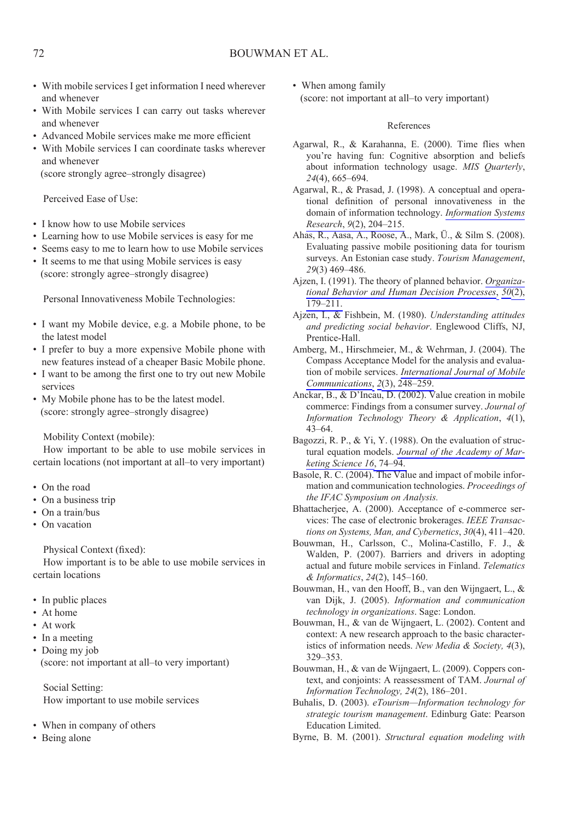- With mobile services I get information I need wherever and whenever
- With Mobile services I can carry out tasks wherever and whenever
- Advanced Mobile services make me more efficient
- With Mobile services I can coordinate tasks wherever and whenever

(score strongly agree–strongly disagree)

Perceived Ease of Use:

- I know how to use Mobile services
- Learning how to use Mobile services is easy for me
- Seems easy to me to learn how to use Mobile services
- It seems to me that using Mobile services is easy (score: strongly agree-strongly disagree)

Personal Innovativeness Mobile Technologies:

- I want my Mobile device, e.g. a Mobile phone, to be the latest model
- I prefer to buy a more expensive Mobile phone with new features instead of a cheaper Basic Mobile phone.
- I want to be among the first one to try out new Mobile services
- My Mobile phone has to be the latest model. (score: strongly agree-strongly disagree)

Mobility Context (mobile):

How important to be able to use mobile services in certain locations (not important at all-to very important)

- On the road
- On a business trip
- On a train/bus
- On vacation

Physical Context (fixed):

How important is to be able to use mobile services in certain locations

- In public places
- At home
- $\bullet$  At work
- In a meeting
- Doing my job (score: not important at all-to very important)

Social Setting: How important to use mobile services

- When in company of others
- Being alone

• When among family (score: not important at all-to very important)

#### References

- Agarwal, R., & Karahanna, E. (2000). Time flies when you're having fun: Cognitive absorption and beliefs about information technology usage. MIS Quarterly,  $24(4)$ , 665-694.
- Agarwal, R., & Prasad, J. (1998). A conceptual and operational definition of personal innovativeness in the domain of information technology. Information Systems Research, 9(2), 204-215.
- Ahas, R., Aasa, A., Roose, A., Mark, Ü., & Silm S. (2008). Evaluating passive mobile positioning data for tourism surveys. An Estonian case study. Tourism Management, 29(3) 469-486.
- Ajzen, I. (1991). The theory of planned behavior. Organizational Behavior and Human Decision Processes,  $50(2)$ ,  $179 - 211.$
- Ajzen, I., & Fishbein, M. (1980). Understanding attitudes and predicting social behavior. Englewood Cliffs, NJ, Prentice-Hall.
- Amberg, M., Hirschmeier, M., & Wehrman, J. (2004). The Compass Acceptance Model for the analysis and evaluation of mobile services. International Journal of Mobile Communications, 2(3), 248-259.
- Anckar, B., & D'Incau, D. (2002). Value creation in mobile commerce: Findings from a consumer survey. Journal of Information Technology Theory & Application, 4(1),  $43 - 64$ .
- Bagozzi, R. P., & Yi, Y. (1988). On the evaluation of structural equation models. Journal of the Academy of Marketing Science 16, 74-94.
- Basole, R. C. (2004). The Value and impact of mobile information and communication technologies. Proceedings of the IFAC Symposium on Analysis.
- Bhattacherjee, A. (2000). Acceptance of e-commerce services: The case of electronic brokerages. IEEE Transactions on Systems, Man, and Cybernetics, 30(4), 411-420.
- Bouwman, H., Carlsson, C., Molina-Castillo, F. J., & Walden, P. (2007). Barriers and drivers in adopting actual and future mobile services in Finland. Telematics & Informatics, 24(2), 145-160.
- Bouwman, H., van den Hooff, B., van den Wijngaert, L., & van Dijk, J. (2005). Information and communication technology in organizations. Sage: London.
- Bouwman, H., & van de Wijngaert, L. (2002). Content and context: A new research approach to the basic characteristics of information needs. New Media & Society,  $4(3)$ , 329-353.
- Bouwman, H., & van de Wijngaert, L. (2009). Coppers context, and conjoints: A reassessment of TAM. Journal of Information Technology, 24(2), 186-201.
- Buhalis, D. (2003). eTourism-Information technology for strategic tourism management. Edinburg Gate: Pearson Education Limited.
- Byrne, B. M. (2001). Structural equation modeling with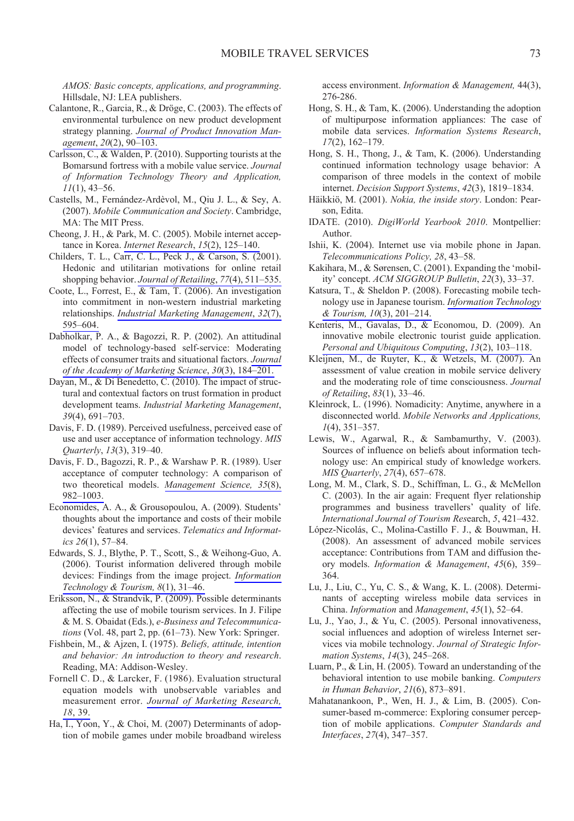AMOS: Basic concepts, applications, and programming. Hillsdale, NJ: LEA publishers.

- Calantone, R., Garcia, R., & Dröge, C. (2003). The effects of environmental turbulence on new product development strategy planning. Journal of Product Innovation Management, 20(2), 90-103.
- Carlsson, C., & Walden, P. (2010). Supporting tourists at the Bomarsund fortress with a mobile value service. Journal of Information Technology Theory and Application,  $11(1)$ , 43-56.
- Castells, M., Fernández-Ardèvol, M., Qiu J. L., & Sey, A. (2007). Mobile Communication and Society. Cambridge, MA: The MIT Press.
- Cheong, J. H., & Park, M. C. (2005). Mobile internet acceptance in Korea. Internet Research, 15(2), 125-140.
- Childers, T. L., Carr, C. L., Peck J., & Carson, S. (2001). Hedonic and utilitarian motivations for online retail shopping behavior. Journal of Retailing, 77(4), 511–535.
- Coote, L., Forrest, E., & Tam, T. (2006). An investigation into commitment in non-western industrial marketing relationships. Industrial Marketing Management, 32(7), 595-604.
- Dabholkar, P. A., & Bagozzi, R. P. (2002). An attitudinal model of technology-based self-service: Moderating effects of consumer traits and situational factors. Journal of the Academy of Marketing Science, 30(3), 184-201.
- Dayan, M., & Di Benedetto, C. (2010). The impact of structural and contextual factors on trust formation in product development teams. Industrial Marketing Management,  $39(4)$ , 691-703.
- Davis, F. D. (1989). Perceived usefulness, perceived ease of use and user acceptance of information technology. MIS Quarterly, 13(3), 319-40.
- Davis, F. D., Bagozzi, R. P., & Warshaw P. R. (1989). User acceptance of computer technology: A comparison of two theoretical models. Management Science, 35(8),  $982 - 1003$ .
- Economides, A. A., & Grousopoulou, A. (2009). Students' thoughts about the importance and costs of their mobile devices' features and services. Telematics and Informatics 26(1), 57-84.
- Edwards, S. J., Blythe, P. T., Scott, S., & Weihong-Guo, A. (2006). Tourist information delivered through mobile devices: Findings from the image project. Information Technology & Tourism, 8(1), 31-46.
- Eriksson, N., & Strandvik, P. (2009). Possible determinants affecting the use of mobile tourism services. In J. Filipe & M. S. Obaidat (Eds.), e-Business and Telecommunications (Vol. 48, part 2, pp. (61–73). New York: Springer.
- Fishbein, M., & Ajzen, I. (1975). Beliefs, attitude, intention and behavior: An introduction to theory and research. Reading, MA: Addison-Wesley.
- Fornell C. D., & Larcker, F. (1986). Evaluation structural equation models with unobservable variables and measurement error. Journal of Marketing Research, 18, 39.
- Ha, I., Yoon, Y., & Choi, M. (2007) Determinants of adoption of mobile games under mobile broadband wireless

access environment. Information & Management, 44(3), 276-286.

- Hong, S. H., & Tam, K. (2006). Understanding the adoption of multipurpose information appliances: The case of mobile data services. Information Systems Research,  $17(2)$ , 162-179.
- Hong, S. H., Thong, J., & Tam, K. (2006). Understanding continued information technology usage behavior: A comparison of three models in the context of mobile internet. Decision Support Systems, 42(3), 1819-1834.
- Häikkiö, M. (2001). Nokia, the inside story. London: Pearson, Edita.
- IDATE. (2010). DigiWorld Yearbook 2010. Montpellier: Author.
- Ishii, K. (2004). Internet use via mobile phone in Japan. Telecommunications Policy, 28, 43-58.
- Kakihara, M., & Sørensen, C. (2001). Expanding the 'mobility' concept. ACM SIGGROUP Bulletin, 22(3), 33-37.
- Katsura, T., & Sheldon P. (2008). Forecasting mobile technology use in Japanese tourism. Information Technology & Tourism, 10(3), 201-214.
- Kenteris, M., Gavalas, D., & Economou, D. (2009). An innovative mobile electronic tourist guide application. Personal and Ubiquitous Computing, 13(2), 103-118.
- Kleijnen, M., de Ruyter, K., & Wetzels, M. (2007). An assessment of value creation in mobile service delivery and the moderating role of time consciousness. Journal of Retailing, 83(1), 33-46.
- Kleinrock, L. (1996). Nomadicity: Anytime, anywhere in a disconnected world. Mobile Networks and Applications,  $I(4)$ , 351–357.
- Lewis, W., Agarwal, R., & Sambamurthy, V. (2003). Sources of influence on beliefs about information technology use: An empirical study of knowledge workers. MIS Quarterly, 27(4), 657-678.
- Long, M. M., Clark, S. D., Schiffman, L. G., & McMellon C. (2003). In the air again: Frequent flyer relationship programmes and business travellers' quality of life. International Journal of Tourism Research, 5, 421-432.
- López-Nicolás, C., Molina-Castillo F. J., & Bouwman, H. (2008). An assessment of advanced mobile services acceptance: Contributions from TAM and diffusion theory models. Information & Management, 45(6), 359-364.
- Lu, J., Liu, C., Yu, C. S., & Wang, K. L. (2008). Determinants of accepting wireless mobile data services in China. Information and Management, 45(1), 52-64.
- Lu, J., Yao, J., & Yu, C. (2005). Personal innovativeness, social influences and adoption of wireless Internet services via mobile technology. Journal of Strategic Information Systems, 14(3), 245-268.
- Luarn, P., & Lin, H. (2005). Toward an understanding of the behavioral intention to use mobile banking. Computers in Human Behavior, 21(6), 873-891.
- Mahatanankoon, P., Wen, H. J., & Lim, B. (2005). Consumer-based m-commerce: Exploring consumer perception of mobile applications. Computer Standards and Interfaces, 27(4), 347-357.